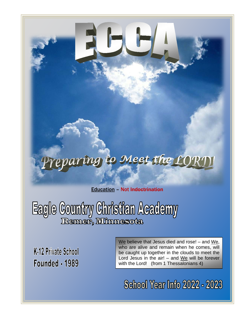# reparing to Meet the LOI

Education – Not Indoctrination

Eagle Country Christian Academy

K-12 Private School Founded - 1989 We believe that Jesus died and rose! – and We, who are alive and remain when he comes, will be caught up together in the clouds to meet the Lord Jesus in the air!  $-$  and We will be forever with the Lord! (from 1 Thessalonians 4)

**School Year Info 2022 - 2023**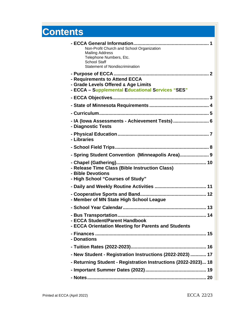## **Contents**

| Non-Profit Church and School Organization<br><b>Mailing Address</b><br>Telephone Numbers, Etc.<br><b>School Staff</b>    |
|--------------------------------------------------------------------------------------------------------------------------|
| <b>Statement of Nondiscrimination</b>                                                                                    |
| - Requirements to Attend ECCA<br>- Grade Levels Offered & Age Limits<br>- ECCA - Supplemental Educational Services "SES" |
|                                                                                                                          |
|                                                                                                                          |
|                                                                                                                          |
| - IA (Iowa Assessments - Achievement Tests)  6<br>- Diagnostic Tests                                                     |
| - Libraries                                                                                                              |
|                                                                                                                          |
| - Spring Student Convention (Minneapolis Area) 9                                                                         |
| - Release Time Class (Bible Instruction Class)<br>- Bible Devotions<br>- High School "Courses of Study"                  |
|                                                                                                                          |
| - Member of MN State High School League                                                                                  |
|                                                                                                                          |
| - Bus Transportation<br>14<br>- ECCA Student/Parent Handbook<br>- ECCA Orientation Meeting for Parents and Students      |
| - Donations                                                                                                              |
|                                                                                                                          |
| - New Student - Registration Instructions (2022-2023)  17                                                                |
| - Returning Student - Registration Instructions (2022-2023) 18                                                           |
|                                                                                                                          |
|                                                                                                                          |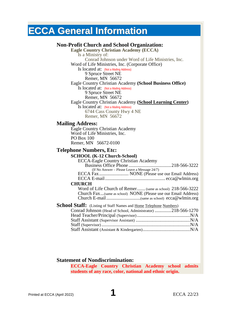### **ECCA General Information**

#### **Non-Profit Church and School Organization:**

**Eagle Country Christian Academy (ECCA)** Is a Ministry of: Conrad Johnson under Word of Life Ministries, Inc. Word of Life Ministries, Inc. (Corporate Office) Is located at: (Not a Mailing Address) 9 Spruce Street NE Remer, MN 56672 Eagle Country Christian Academy **(School Business Office)** Is located at: (Not a Mailing Address) 9 Spruce Street NE Remer, MN 56672 Eagle Country Christian Academy **(School Learning Center)** Is located at: (Not a Mailing Address) 6744 Cass County Hwy 4 NE Remer, MN 56672 **Mailing Address:** Eagle Country Christian Academy Word of Life Ministries, Inc. PO Box 100 Remer, MN 56672-0100 **Telephone Numbers, Etc: SCHOOL (K-12 Church-School)** ECCA-Eagle Country Christian Academy Business Office Phone ....................................218-566-3222 (If No Answer – Please Leave a Message 24/7) ECCA Fax......................... NONE (Please use our Email Address) ECCA E-mail................................................... ecca@wlmin.org **CHURCH** Word of Life Church of Remer....... (same as school) 218-566-3222 Church Fax...(same as school) NONE (Please use our Email Address) Church E-mail.............................(same as school) ecca@wlmin.org **School Staff:** (Listing of Staff Names and Home Telephone Numbers) Conrad Johnson (Head of School, Administrator) ..............218-566-1270 Head Teacher/Principal (Supervisor).............................................N/A Staff Assistant (Supervisor Assistant) ..............................................N/A Staff (Supervisor)...........................................................................N/A Staff Assistant (Assistant & Kindergarten)........................................N/A

#### **Statement of Nondiscrimination:**

**ECCA-Eagle Country Christian Academy school admits students of any race, color, national and ethnic origin.**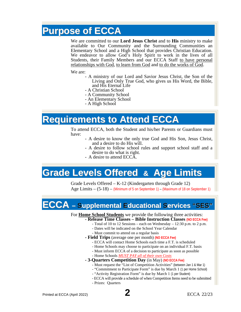### **Purpose of ECCA**

We are committed to our **Lord Jesus Christ** and to **His** ministry to make available to Our Community and the Surrounding Communities an Elementary School and a High School that provides Christian Education. We endeavor to allow God's Holy Spirit to work in the lives of all Students, their Family Members and our ECCA Staff to have personal relationships with God, to learn from God and to do the works of God.

- We are:<br>-- A ministry of our Lord and Savior Jesus Christ, the Son of the Living and Only True God, who gives us His Word, the Bible,
	- A Christian School
	- A Community School
	- An Elementary School
	- A High School

### **Requirements to Attend ECCA**

To attend ECCA, both the Student and his/her Parents or Guardians must

- have:<br>- A desire to know the only true God and His Son, Jesus Christ,<br>and a desire to do His will.
	- A desire to follow school rules and support school staff and a desire to do what is right. - A desire to attend ECCA.
	-

### **Grade Levels Offered & Age Limits**

Grade Levels Offered – K-12 (Kindergarten through Grade 12) Age Limits – (5-18) – (Minimum of 5 on September 1) – (Maximum of 18 on September 1)

### **ECCA – Supplemental Educational Services "SES"**

### For **Home School Students** we provide the following three activities: **- Release Time Classes – Bible Instruction Classes (NO ECCA Fee)**

- - Total of 10 to 12 Sessions each on Wednesday 12:30 p.m. to 2 p.m.
	- Dates will be indicated on the School Year Calendar
- Must commit to attend on a regular basis
- **- Field Trips** (average one per month) **(NO ECCA Fee)**
	- ECCA will contact Home Schools each time a F.T. is scheduled
	- Home Schools may choose to participate on an individual F.T. basis
	- Must inform ECCA of a decision to participate as soon as possible
	- Home Schools *MUST PAY all of their own Costs*
- **- 3-Quarters Competition Day** (in May) **(NO ECCA Fee)**
	- Must request the "List of Competition Activities" (between Jan 1 & Mar 1)
	- "Commitment to Participate Form" is due by March 1 (1 per Home School)
	- "Activity Registration Form" is due by March 1 (1 per Student)
	- ECCA will provide a schedule of when Competition Items need to be submitted
	- Prizes: Quarters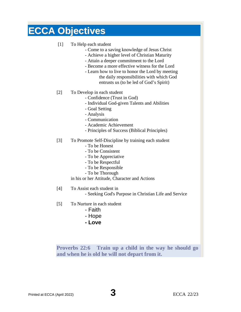### **ECCA Objectives**

#### [1] To Help each student

- Come to a saving knowledge of Jesus Christ
- Achieve a higher level of Christian Maturity
- Attain a deeper commitment to the Lord
- Become a more effective witness for the Lord
- Learn how to live to honor the Lord by meeting the daily responsibilities with which God entrusts us (to be led of God's Spirit)
- [2] To Develop in each student
	- Confidence (Trust in God)
	- Individual God-given Talents and Abilities
	- Goal Setting
	- Analysis
	- Communication
	- Academic Achievement
	- Principles of Success (Biblical Principles)
- [3] To Promote Self-Discipline by training each student
	- To be Honest
	- To be Consistent
	- To be Appreciative
	- To be Respectful
	- To be Responsible
	- To be Thorough

in his or her Attitude, Character and Actions

[4] To Assist each student in

- Seeking God's Purpose in Christian Life and Service

- [5] To Nurture in each student
	- Faith
	- Hope
	- **- Love**

**Proverbs 22:6 Train up a child in the way he should go and when he is old he will not depart from it.**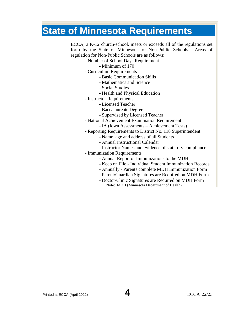### **State of Minnesota Requirements**

ECCA, a K-12 church-school, meets or exceeds all of the regulations set forth by the State of Minnesota for Non-Public Schools. Areas of regulation for Non-Public Schools are as follows:

- Number of School Days Requirement
	- Minimum of 170
- Curriculum Requirements
	- Basic Communication Skills
	- Mathematics and Science
	- Social Studies
	- Health and Physical Education
- Instructor Requirements
	- Licensed Teacher
	- Baccalaureate Degree
	- Supervised by Licensed Teacher
- National Achievement Examination Requirement
	- IA (Iowa Assessments Achievement Tests)
- Reporting Requirements to District No. 118 Superintendent
	- Name, age and address of all Students
	- Annual Instructional Calendar
	- Instructor Names and evidence of statutory compliance
- Immunization Requirements
	- Annual Report of Immunizations to the MDH
	- Keep on File Individual Student Immunization Records
	- Annually Parents complete MDH Immunization Form
	- Parent/Guardian Signatures are Required on MDH Form
	- Doctor/Clinic Signatures are Required on MDH Form Note: MDH (Minnesota Department of Health)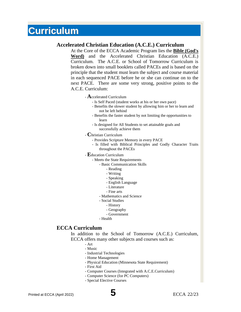### **Curriculum**

#### **Accelerated Christian Education (A.C.E.) Curriculum**

At the Core of the ECCA Academic Program lies the **Bible (God's Word)** and the Accelerated Christian Education (A.C.E.) Curriculum. The A.C.E. or School of Tomorrow Curriculum is broken down into small booklets called PACEs and is based on the principle that the student must learn the subject and course material in each sequenced PACE before he or she can continue on to the next PACE. There are some very strong, positive points to the A.C.E. Curriculum:

#### - **A**ccelerated Curriculum

- Is Self Paced (student works at his or her own pace)
- Benefits the slower student by allowing him or her to learn and not be left behind
- Benefits the faster student by not limiting the opportunities to learn
- Is designed for All Students to set attainable goals and successfully achieve them
- **C**hristian Curriculum
	- Provides Scripture Memory in every PACE
	- Is filled with Biblical Principles and Godly Character Traits throughout the PACEs
- **E**ducation Curriculum
	- Meets the State Requirements
		- Basic Communication Skills
			- Reading
			- Writing
			- Speaking
			- English Language
			- Literature
			- Fine arts
		- Mathematics and Science
		- Social Studies
			- History
			- Geography
			- Government
		- Health

#### **ECCA Curriculum**

In addition to the School of Tomorrow (A.C.E.) Curriculum, ECCA offers many other subjects and courses such as:

- Art
- Music
- Industrial Technologies
- Home Management
- Physical Education (Minnesota State Requirement)
- First Aid
- Computer Courses (Integrated with A.C.E.Curriculum)
- Computer Science (for PC Computers)
- Special Elective Courses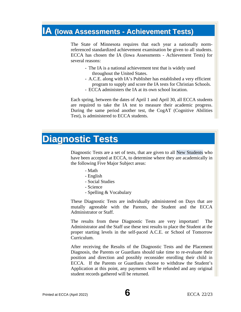### **IA (Iowa Assessments - Achievement Tests)**

The State of Minnesota requires that each year a nationally normreferenced standardized achievement examination be given to all students. ECCA has chosen the IA (Iowa Assessments - Achievement Tests) for several reasons:

- The IA is a national achievement test that is widely used throughout the United States.
- A.C.E. along with IA's Publisher has established a very efficient program to supply and score the IA tests for Christian Schools.
- ECCA administers the IA at its own school location.

Each spring, between the dates of April 1 and April 30, all ECCA students are required to take the IA test to measure their academic progress. During the same period another test, the CogAT (Cognitive Abilities Test), is administered to ECCA students.

### **Diagnostic Tests**

Diagnostic Tests are a set of tests, that are given to all New Students who have been accepted at ECCA, to determine where they are academically in the following Five Major Subject areas:

- Math
- English
- Social Studies
- Science
- Spelling & Vocabulary

These Diagnostic Tests are individually administered on Days that are mutally agreeable with the Parents, the Student and the ECCA Administrator or Staff.

The results from these Diagnostic Tests are very important! The Administrator and the Staff use these test results to place the Student at the proper starting levels in the self-paced A.C.E. or School of Tomorrow Curriculum.

After receiving the Results of the Diagnostic Tests and the Placement Diagnosis, the Parents or Guardians should take time to re-evaluate their position and direction and possibly reconsider enrolling their child in ECCA. If the Parents or Guardians choose to withdraw the Student's Application at this point, any payments will be refunded and any original student records gathered will be returned.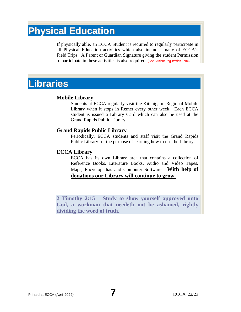### **Physical Education**

If physically able, an ECCA Student is required to regularly participate in all Physical Education activities which also includes many of ECCA's Field Trips. A Parent or Guardian Signature giving the student Permission to participate in these activities is also required. (See Student Registration Form)

### **Libraries**

#### **Mobile Library**

Students at ECCA regularly visit the Kitchigami Regional Mobile Library when it stops in Remer every other week. Each ECCA student is issued a Library Card which can also be used at the Grand Rapids Public Library.

#### **Grand Rapids Public Library**

Periodically, ECCA students and staff visit the Grand Rapids Public Library for the purpose of learning how to use the Library.

#### **ECCA Library**

ECCA has its own Library area that contains a collection of Reference Books, Literature Books, Audio and Video Tapes, Maps, Encyclopedias and Computer Software. **With help of donations our Library will continue to grow.**

**2 Timothy 2:15 Study to show yourself approved unto God, a workman that needeth not be ashamed, rightly dividing the word of truth.**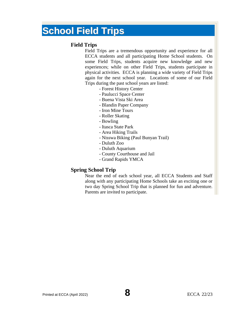### **School Field Trips**

#### **Field Trips**

Field Trips are a tremendous opportunity and experience for all ECCA students and all participating Home School students. On some Field Trips, students acquire new knowledge and new experiences; while on other Field Trips, students participate in physical activities. ECCA is planning a wide variety of Field Trips again for the next school year. Locations of some of our Field Trips during the past school years are listed:

- Forest History Center
- Paulucci Space Center
- Buena Vista Ski Area
- Blandin Paper Company
- Iron Mine Tours
- Roller Skating
- Bowling
- Itasca State Park
- Area Hiking Trails
- Nisswa Biking (Paul Bunyan Trail)
- Duluth Zoo
- Duluth Aquarium
- County Courthouse and Jail
- Grand Rapids YMCA

#### **Spring School Trip**

Near the end of each school year, all ECCA Students and Staff along with any participating Home Schools take an exciting one or two day Spring School Trip that is planned for fun and adventure. Parents are invited to participate.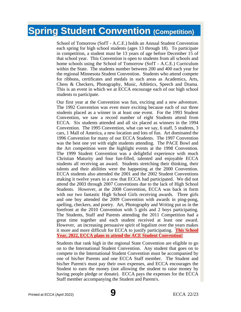### **Spring Student Convention (Competition)**

School of Tomorrow (SofT - A.C.E.) holds an Annual Student Convention each spring for high school students (ages 13 through 18). To participate in competition, a student must be 13 years of age before December 15 of that school year. This Convention is open to students from all schools and home schools using the School of Tomorrow (SofT - A.C.E.) Curriculum within the State. The students number between 200 and 400 each year for the regional Minnesota Student Convention. Students who attend compete for ribbons, certificates and medals in such areas as Academics, Arts, Chess & Checkers, Photography, Music, Athletics, Speech and Drama. This is an event in which we at ECCA encourage each of our high school students to participate.

Our first year at the Convention was fun, exciting and a new adventure. The 1992 Convention was even more exciting because each of our three students placed as a winner in at least one event. For the 1993 Student Convention, we saw a record number of eight Students attend from ECCA. Six students attended and all six placed as winners in the 1994 Convention. The 1995 Convention, what can we say, 6 staff, 5 students, 3 cars, 1 Mall of America, a new location and lots of fun. Art dominated the 1996 Convention for many of our ECCA Students. The 1997 Convention was the best one yet with eight students attending. The PACE Bowl and the Art competition were the highlight events at the 1998 Convention. The 1999 Student Convention was a delightful experience with much Christian Maturity and four fun-filled, talented and enjoyable ECCA students all receiving an award. Students stretching their thinking, their talents and their abilities were the happening at the 2000 Convention. ECCA students also attended the 2001 and the 2002 Student Conventions making it twelve years in a row that ECCA had participated. We did not attend the 2003 through 2007 Conventions due to the lack of High School Students. However, at the 2008 Convention, ECCA was back in form with our two fantastic High School Girls receiving awards. Three girls and one boy attended the 2009 Convention with awards in ping-pong, spelling, checkers, and poetry. Art, Photography and Writing put us in the forefront at the 2010 Convention with 5 girls and 2 boys participating. The Students, Staff and Parents attending the 2011 Competition had a great time together and each student received at least one award. However, an increasing persuasive spirit of legalism over the years makes it more and more difficult for ECCA to justify participating. **This School Year, 2022, ECCA plans to attend the ACE Student Convention!**

Students that rank high in the regional State Convention are eligible to go on to the International Student Convention. Any student that goes on to compete in the International Student Convention must be accompanied by one of his/her Parents and one ECCA Staff member. The Student and his/her Parent/s must pay their own expenses, and ECCA encourages the Student to earn the money (not allowing the student to raise money by having people pledge or donate). ECCA pays the expenses for the ECCA Staff member accompanying the Student and Parent/s.

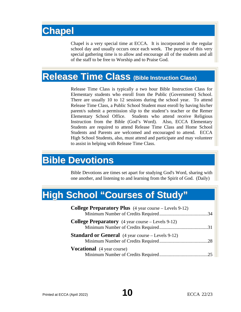## **Chapel**

Chapel is a very special time at ECCA. It is incorporated in the regular school day and usually occurs once each week. The purpose of this very special gathering time is to allow and encourage all of the students and all of the staff to be free to Worship and to Praise God.

### **Release Time Class (Bible Instruction Class)**

Release Time Class is typically a two hour Bible Instruction Class for Elementary students who enroll from the Public (Government) School. There are usually 10 to 12 sessions during the school year. To attend Release Time Class, a Public School Student must enroll by having his/her parent/s submit a permission slip to the student's teacher or the Remer Elementary School Office. Students who attend receive Religious Instruction from the Bible (God's Word). Also, ECCA Elementary Students are required to attend Release Time Class and Home School Students and Parents are welcomed and encouraged to attend. ECCA High School Students, also, must attend and participate and may volunteer to assist in helping with Release Time Class.

### **Bible Devotions**

Bible Devotions are times set apart for studying God's Word, sharing with one another, and listening to and learning from the Spirit of God. (Daily)

## **High School "Courses of Study"**

| <b>College Preparatory Plus</b> (4 year course – Levels 9-12) |  |
|---------------------------------------------------------------|--|
|                                                               |  |
| <b>College Preparatory</b> (4 year course – Levels 9-12)      |  |
|                                                               |  |
| <b>Standard or General</b> (4 year course – Levels 9-12)      |  |
|                                                               |  |
| <b>Vocational</b> (4 year course)                             |  |
|                                                               |  |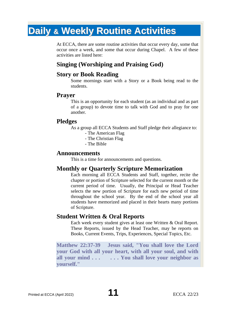## **Daily & Weekly Routine Activities**

At ECCA, there are some routine activities that occur every day, some that occur once a week, and some that occur during Chapel. A few of these activities are listed here:

#### **Singing (Worshiping and Praising God)**

#### **Story or Book Reading**

Some mornings start with a Story or a Book being read to the students.

#### **Prayer**

This is an opportunity for each student (as an individual and as part of a group) to devote time to talk with God and to pray for one another.

#### **Pledges**

As a group all ECCA Students and Staff pledge their allegiance to:

- The American Flag
- The Christian Flag
- The Bible

#### **Announcements**

This is a time for announcements and questions.

#### **Monthly or Quarterly Scripture Memorization**

Each morning all ECCA Students and Staff, together, recite the chapter or portion of Scripture selected for the current month or the current period of time. Usually, the Principal or Head Teacher selects the new portion of Scripture for each new period of time throughout the school year. By the end of the school year all students have memorized and placed in their hearts many portions of Scripture.

#### **Student Written & Oral Reports**

Each week every student gives at least one Written & Oral Report. These Reports, issued by the Head Teacher, may be reports on Books, Current Events, Trips, Experiences, Special Topics, Etc.

**Matthew 22:37-39 Jesus said, "You shall love the Lord your God with all your heart, with all your soul, and with all your mind . . . . . . You shall love your neighbor as yourself."**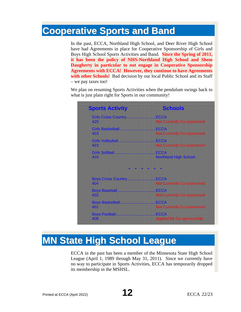### **Cooperative Sports and Band**

In the past, ECCA, Northland High School, and Deer River High School have had Agreements in place for Cooperative Sponsorship of Girls and Boys High School Sports Activities and Band. **Since the Spring of 2011, it has been the policy of NHS-Northland High School and Shem Daugherty in particular to not engage in Cooperative Sponsorship Agreements with ECCA! However, they continue to have Agreements with other Schools!** Bad decision by our local Public School and its Staff – we pay taxes too!

We plan on resuming Sports Activities when the pendulum swings back to what is just plain right for Sports in our community!



## **MN State High School League**

ECCA in the past has been a member of the Minnesota State High School League (April 1, 1989 through May 31, 2011). Since we currently have no way to participate in Sports Activities, ECCA has temporarily dropped its membership in the MSHSL.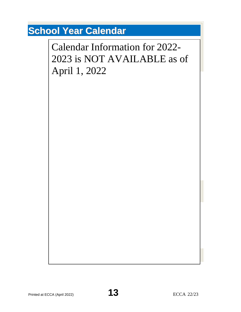## **School Year Calendar**

 $T$  2021-2022 ECC tentative School Calendar is the same as the same as the same as the same as the same as the Public Calendar is the School Calendar is the School Calendar is the School Calendar is the same as the Public Calendar Information for 2022the dates shown in the following  $\frac{1}{2}$ 2023 is NOT AVAILABLE as of when ECCA will be *In Session*, however, *No Bus Transportation*: April 1, 2022**ECCA - First Day of School September – 8 (Tuesday)**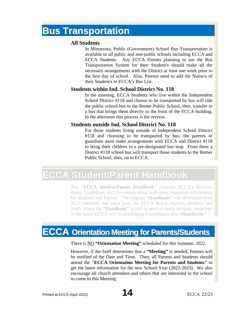### **Bus Transportation**

#### **All Students**

In Minnesota, Public (Government) School Bus Transportation is available to all public and non-public schools including ECCA and ECCA Students. Any ECCA Parents planning to use the Bus Transportation System for their Student/s should make all the necessary arrangements with the District at least one week prior to the first day of school. Also, Parents need to add the Name/s of their Student/s to ECCA's Bus List.

#### **Students within Ind. School District No. 118**

In the morning, ECCA Students who live within the Independent School District #118 and choose to be transported by bus will ride the public school bus to the Remer Public School, then, transfer to a bus that brings them directly to the front of the ECCA building. In the afternoon this process is the reverse.

#### **Students outside Ind. School District No. 118**

For those students living outside of Independent School District #118 and choosing to be transported by bus, the parents or guardians must make arrangements with ECCA and District #118 to bring their children to a pre-designated bus stop. From there a District #118 school bus will transport those students to the Remer Public School, then, on to ECCA.

## **ECCA Student/Parent Handbook**

The **"ECCA Student/Parent Handbook"** contains ECCA's Policies, Rules, Guidelines, and Procedures along with other Important Information for Students and Parents. The original **"Handbook"** was developed from ACE materials and input from the ECCA Board, Parents, Students and Staff. Since the **"Handbook"** is still in need of much revision, sometime in the future ECCA will be developing a completely new **"Handbook."**

## **ECCA Orientation Meeting for Parents/Students**

There is NO **"Orientation Meeting"** scheduled for this Summer, 2022.

However, if the Staff determines that a **"Meeting"** is needed, Parents will be notified of the Date and Time. Then, all Parents and Students should attend the **"ECCA Orientation Meeting for Parents and Students"** to get the latest information for the new School Year (2022-2023). We also encourage all church attendees and others that are interested in the school to come to this Meeting.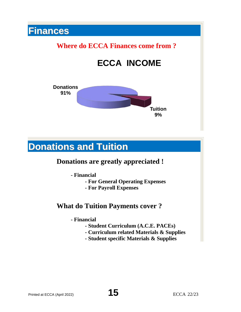# **Finances Where do ECCA Finances come from ? ECCA INCOME Donations 91% Tuition 9%**

### **Donations and Tuition**

### **Donations are greatly appreciated !**

- **- Financial**
	- **- For General Operating Expenses**
	- **- For Payroll Expenses**

### **What do Tuition Payments cover ?**

- **- Financial**
	- **- Student Curriculum (A.C.E. PACEs)**
	- **- Curriculum related Materials & Supplies**
	- **- Student specific Materials & Supplies**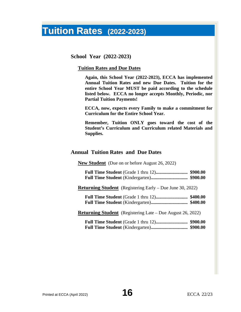### **Tuition Rates (2022-2023)**

**School Year (2022-2023)**

#### **Tuition Rates and Due Dates**

**Again, this School Year (2022-2023), ECCA has implemented Annual Tuition Rates and new Due Dates. Tuition for the entire School Year MUST be paid according to the schedule listed below. ECCA no longer accepts Monthly, Periodic, nor Partial Tuition Payments!**

**ECCA, now, expects every Family to make a commitment for Curriculum for the Entire School Year.**

**Remember, Tuition ONLY goes toward the cost of the Student's Curriculum and Curriculum related Materials and Supplies.**

#### **Annual Tuition Rates and Due Dates**

**New Student** (Due on or before August 26, 2022)

**Returning Student** (Registering Early – Due June 30, 2022)

**Full Time Student** (Grade 1 thru 12)**........................... \$400.00 Full Time Student** (Kindergarten)**............................... \$400.00**

**Returning Student** (Registering Late – Due August 26, 2022)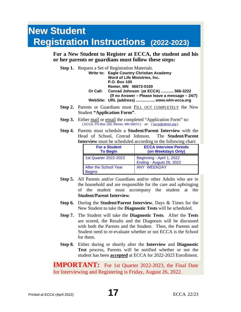## **New Student Registration Instructions (2022-2023)**

**For a New Student to Register at ECCA, the student and his or her parents or guardians must follow these steps:**

|  | <b>Step 1.</b> Request a Set of Registration Materials. |
|--|---------------------------------------------------------|
|  | Write to: Eagle Country Christian Academy               |
|  | Word of Life Ministries, Inc.                           |
|  | <b>P.O. Box 100</b>                                     |
|  | Remer. MN 56672-0100                                    |
|  | Or Call: Conrad Johnson (at ECCA)  566-3222             |
|  | (If no Answer – Please leave a message – 24/7)          |
|  | WebSite: URL (address)  www.wlm-ecca.org                |

- **Step 2.** Parents or Guardians must FILL OUT COMPLETELY the New Student **"Application Form"**.
- **Step 3.** Either mail or email the completed "Application Form" to: { ECCA, PO Box 100, Remer, MN 56672 } -or- [{ ecca@wlmin.org](mailto:ecca@wlmin.org) }
- **Step 4.** Parents must schedule a **Student/Parent Interview** with the Head of School, Conrad Johnson. The **Student/Parent Interview** must be scheduled according to the following chart:

| <b>For a Student</b><br><b>To Begin</b> | <b>ECCA Interview Periods</b><br>(on Weekdays Only)   |
|-----------------------------------------|-------------------------------------------------------|
| 1st Quarter 2022-2023                   | Beginning - April 1, 2022<br>Ending - August 26, 2022 |
| After the School Year<br><b>Begins</b>  | ANY WEEKDAY                                           |

- **Step 5.** All Parents and/or Guardians and/or other Adults who are in the household and are responsible for the care and upbringing of the student must accompany the student at the **Student/Parent Interview**.
- **Step 6.** During the **Student/Parent Interview**, Days & Times for the New Student to take the **Diagnostic Tests** will be scheduled.
- **Step 7.** The Student will take the **Diagnostic Tests**. After the **Tests** are scored, the Results and the Diagnosis will be discussed with both the Parents and the Student. Then, the Parents and Student need to re-evaluate whether or not ECCA is the School for them.
- **Step 8.** Either during or shortly after the **Interview** and **Diagnostic Test** process, Parents will be notified whether or not the student has been **accepted** at ECCA for 2022-2023 Enrollment.

**IMPORTANT:** For 1st Quarter 2022-2023, the Final Date for Interviewing and Registering is Friday, August 26, 2022.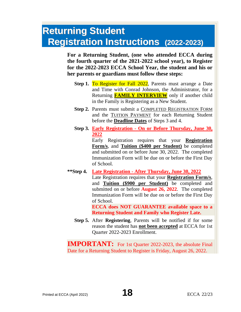### **Returning Student Registration Instructions (2022-2023)**

**For a Returning Student, (one who attended ECCA during the fourth quarter of the 2021-2022 school year), to Register for the 2022-2023 ECCA School Year, the student and his or her parents or guardians must follow these steps:**

- **Step 1. To Register for Fall 2022**, Parents must arrange a Date and Time with Conrad Johnson, the Administrator, for a Returning **FAMILY INTERVIEW** only if another child in the Family is Registering as a New Student.
- **Step 2.** Parents must submit a COMPLETED REGISTRATION FORM and the TUITION PAYMENT for each Returning Student before the **Deadline Dates** of Steps 3 and 4.
- **Step 3. Early Registration - On or Before Thursday, June 30, 2022**

Early Registration requires that your **Registration Form/s**, and **Tuition (\$400 per Student)** be completed and submitted on or before June 30, 2022. The completed Immunization Form will be due on or before the First Day of School.

**\*\*Step 4. Late Registration - After Thursday, June 30, 2022** Late Registration requires that your **Registration Form/s**, and **Tuition (\$900 per Student)** be completed and submitted on or before **August 26, 2022**. The completed

> of School. **ECCA does NOT GUARANTEE available space to a Returning Student and Family who Register Late.**

> Immunization Form will be due on or before the First Day

**Step 5.** After **Registering**, Parents will be notified if for some reason the student has **not been accepted** at ECCA for 1st Quarter 2022-2023 Enrollment.

**IMPORTANT:** For 1st Quarter 2022-2023, the absolute Final Date for a Returning Student to Register is Friday, August 26, 2022.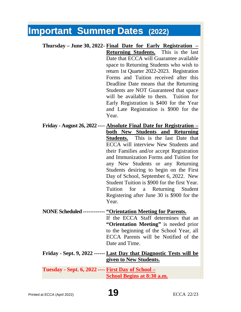### **Important Summer Dates (2022)**

**Thursday – June 30, 2022- Final Date for Early Registration – Returning Students.** This is the last Date that ECCA will Guarantee available space to Returning Students who wish to return 1st Quarter 2022-2023. Registration Forms and Tuition received after this Deadline Date means that the Returning Students are NOT Guaranteed that space will be available to them. Tuition for Early Registration is \$400 for the Year and Late Registration is \$900 for the Year. **Friday - August 26, 2022 ---- Absolute Final Date for Registration – both New Students and Returning Students.** This is the last Date that ECCA will interview New Students and their Families and/or accept Registration and Immunization Forms and Tuition for any New Students or any Returning Students desiring to begin on the First Day of School, September 6, 2022. New Student Tuition is \$900 for the first Year. Tuition for a Returning Student Registering after June 30 is \$900 for the

#### Year.

### **NONE Scheduled ------------ "Orientation Meeting for Parents.**

If the ECCA Staff determines that an **"Orientation Meeting"** is needed prior to the beginning of the School Year, all ECCA Parents will be Notified of the Date and Time.

#### **Friday - Sept. 9, 2022 ------ Last Day that Diagnostic Tests will be given to New Students.**

**Tuesday - Sept. 6, 2022 ---- First Day of School – School Begins at 8:30 a.m.**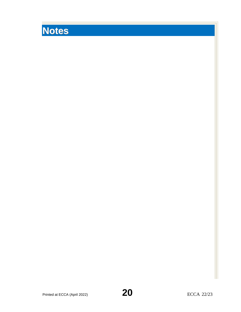# **Notes**